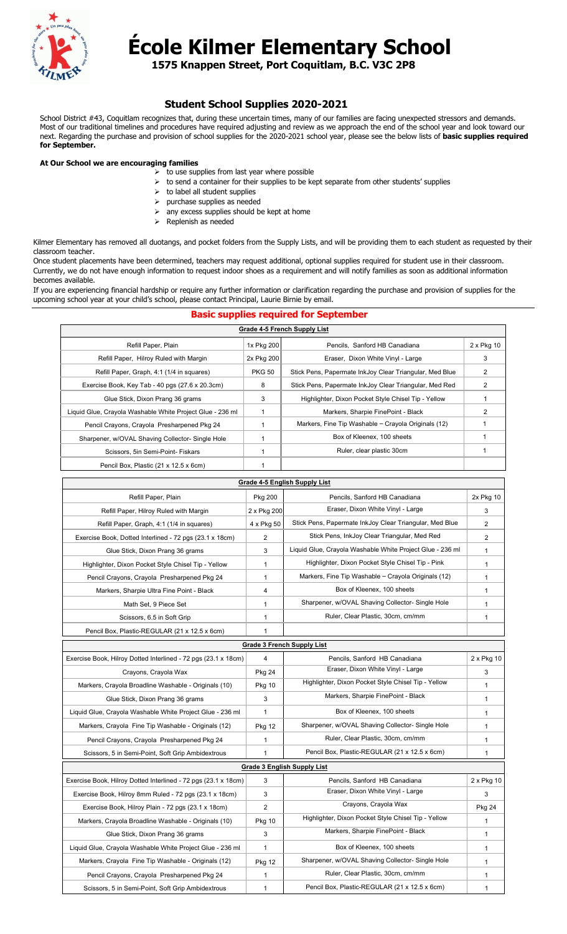

## **École Kilmer Elementary School**

**1575 Knappen Street, Port Coquitlam, B.C. V3C 2P8**

## **Student School Supplies 2020-2021**

School District #43, Coquitlam recognizes that, during these uncertain times, many of our families are facing unexpected stressors and demands. Most of our traditional timelines and procedures have required adjusting and review as we approach the end of the school year and look toward our next. Regarding the purchase and provision of school supplies for the 2020-2021 school year, please see the below lists of **basic supplies required for September.**

## **At Our School we are encouraging families**

- to use supplies from last year where possible
	- $\triangleright$  to send a container for their supplies to be kept separate from other students' supplies
	- $\triangleright$  to label all student supplies
	- $\triangleright$  purchase supplies as needed
	- $\triangleright$  any excess supplies should be kept at home
	- $\triangleright$  Replenish as needed

Kilmer Elementary has removed all duotangs, and pocket folders from the Supply Lists, and will be providing them to each student as requested by their classroom teacher.

Once student placements have been determined, teachers may request additional, optional supplies required for student use in their classroom. Currently, we do not have enough information to request indoor shoes as a requirement and will notify families as soon as additional information becomes available.

If you are experiencing financial hardship or require any further information or clarification regarding the purchase and provision of supplies for the upcoming school year at your child's school, please contact Principal, Laurie Birnie by email.

## **Basic supplies required for September**

| Grade 4-5 French Supply List                              |               |                                                         |            |
|-----------------------------------------------------------|---------------|---------------------------------------------------------|------------|
| Refill Paper, Plain                                       | 1x Pkg 200    | Pencils, Sanford HB Canadiana                           | 2 x Pkg 10 |
| Refill Paper, Hilroy Ruled with Margin                    | 2x Pkg 200    | Eraser, Dixon White Vinyl - Large                       | 3          |
| Refill Paper, Graph, 4:1 (1/4 in squares)                 | <b>PKG 50</b> | Stick Pens, Papermate InkJoy Clear Triangular, Med Blue | 2          |
| Exercise Book, Key Tab - 40 pgs (27.6 x 20.3cm)           | 8             | Stick Pens, Papermate InkJoy Clear Triangular, Med Red  | 2          |
| Glue Stick, Dixon Prang 36 grams                          | 3             | Highlighter, Dixon Pocket Style Chisel Tip - Yellow     |            |
| Liquid Glue, Crayola Washable White Project Glue - 236 ml |               | Markers, Sharpie FinePoint - Black                      | 2          |
| Pencil Crayons, Crayola Presharpened Pkg 24               |               | Markers, Fine Tip Washable - Crayola Originals (12)     |            |
| Sharpener, w/OVAL Shaving Collector- Single Hole          |               | Box of Kleenex, 100 sheets                              |            |
| Scissors, 5in Semi-Point- Fiskars                         |               | Ruler, clear plastic 30cm                               |            |
| Pencil Box, Plastic (21 x 12.5 x 6cm)                     |               |                                                         |            |

| Grade 4-5 English Supply List                                  |                |                                                           |               |
|----------------------------------------------------------------|----------------|-----------------------------------------------------------|---------------|
| Refill Paper, Plain                                            | Pkg 200        | Pencils, Sanford HB Canadiana                             | 2x Pkg 10     |
| Refill Paper, Hilroy Ruled with Margin                         | 2 x Pkg 200    | Eraser, Dixon White Vinyl - Large                         | 3             |
| Refill Paper, Graph, 4:1 (1/4 in squares)                      | 4 x Pkg 50     | Stick Pens, Papermate InkJoy Clear Triangular, Med Blue   | 2             |
| Exercise Book, Dotted Interlined - 72 pgs (23.1 x 18cm)        | 2              | Stick Pens, InkJoy Clear Triangular, Med Red              | 2             |
| Glue Stick, Dixon Prang 36 grams                               | 3              | Liquid Glue, Crayola Washable White Project Glue - 236 ml | $\mathbf{1}$  |
| Highlighter, Dixon Pocket Style Chisel Tip - Yellow            | 1              | Highlighter, Dixon Pocket Style Chisel Tip - Pink         | 1             |
| Pencil Crayons, Crayola Presharpened Pkg 24                    | 1              | Markers, Fine Tip Washable - Crayola Originals (12)       | 1             |
| Markers, Sharpie Ultra Fine Point - Black                      | 4              | Box of Kleenex, 100 sheets                                | 1             |
| Math Set, 9 Piece Set                                          | 1              | Sharpener, w/OVAL Shaving Collector- Single Hole          | 1             |
| Scissors, 6.5 in Soft Grip                                     | 1              | Ruler, Clear Plastic, 30cm, cm/mm                         | $\mathbf{1}$  |
| Pencil Box, Plastic-REGULAR (21 x 12.5 x 6cm)                  | $\mathbf{1}$   |                                                           |               |
| <b>Grade 3 French Supply List</b>                              |                |                                                           |               |
| Exercise Book, Hilroy Dotted Interlined - 72 pgs (23.1 x 18cm) | 4              | Pencils, Sanford HB Canadiana                             | 2 x Pkg 10    |
| Crayons, Crayola Wax                                           | <b>Pkg 24</b>  | Eraser, Dixon White Vinyl - Large                         | 3             |
| Markers, Crayola Broadline Washable - Originals (10)           | Pkg 10         | Highlighter, Dixon Pocket Style Chisel Tip - Yellow       | 1             |
| Glue Stick, Dixon Prang 36 grams                               | 3              | Markers, Sharpie FinePoint - Black                        | 1             |
| Liquid Glue, Crayola Washable White Project Glue - 236 ml      | 1              | Box of Kleenex, 100 sheets                                | $\mathbf{1}$  |
| Markers, Crayola Fine Tip Washable - Originals (12)            | <b>Pkg 12</b>  | Sharpener, w/OVAL Shaving Collector- Single Hole          | 1             |
| Pencil Crayons, Crayola Presharpened Pkg 24                    | 1              | Ruler, Clear Plastic, 30cm, cm/mm                         | 1             |
| Scissors, 5 in Semi-Point, Soft Grip Ambidextrous              | $\mathbf{1}$   | Pencil Box, Plastic-REGULAR (21 x 12.5 x 6cm)             | 1             |
|                                                                |                | <b>Grade 3 English Supply List</b>                        |               |
| Exercise Book, Hilroy Dotted Interlined - 72 pgs (23.1 x 18cm) | 3              | Pencils, Sanford HB Canadiana                             | 2 x Pkg 10    |
| Exercise Book, Hilroy 8mm Ruled - 72 pgs (23.1 x 18cm)         | 3              | Eraser, Dixon White Vinyl - Large                         | 3             |
| Exercise Book, Hilroy Plain - 72 pgs (23.1 x 18cm)             | $\overline{2}$ | Crayons, Crayola Wax                                      | <b>Pkg 24</b> |
| Markers, Crayola Broadline Washable - Originals (10)           | <b>Pkg 10</b>  | Highlighter, Dixon Pocket Style Chisel Tip - Yellow       | 1             |
| Glue Stick, Dixon Prang 36 grams                               | 3              | Markers, Sharpie FinePoint - Black                        | $\mathbf{1}$  |
| Liquid Glue, Crayola Washable White Project Glue - 236 ml      | 1              | Box of Kleenex, 100 sheets                                | 1             |
| Markers, Crayola Fine Tip Washable - Originals (12)            | <b>Pkg 12</b>  | Sharpener, w/OVAL Shaving Collector- Single Hole          | 1             |
| Pencil Crayons, Crayola Presharpened Pkg 24                    | 1              | Ruler, Clear Plastic, 30cm, cm/mm                         | 1             |
| Scissors, 5 in Semi-Point, Soft Grip Ambidextrous              | 1              | Pencil Box, Plastic-REGULAR (21 x 12.5 x 6cm)             | $\mathbf{1}$  |